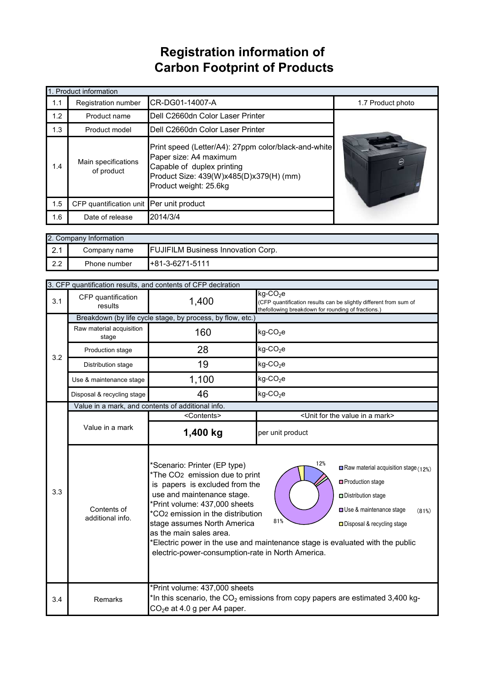## **Registration information of Carbon Footprint of Products**

|     | 1. Product information                   |                                                                                                                                                                                   |                   |
|-----|------------------------------------------|-----------------------------------------------------------------------------------------------------------------------------------------------------------------------------------|-------------------|
| 1.1 | Registration number                      | CR-DG01-14007-A                                                                                                                                                                   | 1.7 Product photo |
| 1.2 | Product name                             | Dell C2660dn Color Laser Printer                                                                                                                                                  |                   |
| 1.3 | Product model                            | Dell C2660dn Color Laser Printer                                                                                                                                                  |                   |
| 1.4 | Main specifications<br>of product        | Print speed (Letter/A4): 27ppm color/black-and-white<br>Paper size: A4 maximum<br>Capable of duplex printing<br>Product Size: 439(W)x485(D)x379(H) (mm)<br>Product weight: 25.6kg |                   |
| 1.5 | CFP quantification unit Per unit product |                                                                                                                                                                                   |                   |
| 1.6 | Date of release                          | 2014/3/4                                                                                                                                                                          |                   |

|                        | 2. Company Information |                                           |
|------------------------|------------------------|-------------------------------------------|
| $\Omega$<br>$\sim$ . I | Company name           | <b>FUJIFILM Business Innovation Corp.</b> |
| $\Omega$               | Phone number           | $H + 81 - 3 - 6271 - 5111$                |

|     |                                   | 3. CFP quantification results, and contents of CFP declration                                                                                                                                                                                                                                                                               |                                                                                                                                                                                                                                                            |  |
|-----|-----------------------------------|---------------------------------------------------------------------------------------------------------------------------------------------------------------------------------------------------------------------------------------------------------------------------------------------------------------------------------------------|------------------------------------------------------------------------------------------------------------------------------------------------------------------------------------------------------------------------------------------------------------|--|
| 3.1 | CFP quantification<br>results     | 1,400                                                                                                                                                                                                                                                                                                                                       | $kg$ -CO <sub>2</sub> e<br>(CFP quantification results can be slightly different from sum of<br>thefollowing breakdown for rounding of fractions.)                                                                                                         |  |
|     |                                   | Breakdown (by life cycle stage, by process, by flow, etc.)                                                                                                                                                                                                                                                                                  |                                                                                                                                                                                                                                                            |  |
|     | Raw material acquisition<br>stage | 160                                                                                                                                                                                                                                                                                                                                         | $kg$ -CO <sub>2</sub> e                                                                                                                                                                                                                                    |  |
| 3.2 | Production stage                  | 28                                                                                                                                                                                                                                                                                                                                          | $kg$ -CO <sub>2</sub> e                                                                                                                                                                                                                                    |  |
|     | Distribution stage                | 19                                                                                                                                                                                                                                                                                                                                          | $kg$ -CO <sub>2</sub> e                                                                                                                                                                                                                                    |  |
|     | Use & maintenance stage           | 1,100                                                                                                                                                                                                                                                                                                                                       | $kg$ -CO <sub>2</sub> e                                                                                                                                                                                                                                    |  |
|     | Disposal & recycling stage        | 46                                                                                                                                                                                                                                                                                                                                          | kg-CO <sub>2</sub> e                                                                                                                                                                                                                                       |  |
|     |                                   | Value in a mark, and contents of additional info.                                                                                                                                                                                                                                                                                           |                                                                                                                                                                                                                                                            |  |
|     |                                   | <contents></contents>                                                                                                                                                                                                                                                                                                                       | <unit a="" for="" in="" mark="" the="" value=""></unit>                                                                                                                                                                                                    |  |
|     | Value in a mark                   | 1,400 kg                                                                                                                                                                                                                                                                                                                                    | per unit product                                                                                                                                                                                                                                           |  |
| 3.3 | Contents of<br>additional info.   | *Scenario: Printer (EP type)<br>*The CO <sub>2</sub> emission due to print<br>is papers is excluded from the<br>use and maintenance stage.<br>*Print volume: 437,000 sheets<br>*CO <sub>2</sub> emission in the distribution<br>stage assumes North America<br>as the main sales area.<br>electric-power-consumption-rate in North America. | 12%<br>$\Box$ Raw material acquisition stage (12%)<br>□ Production stage<br>Distribution stage<br>Use & maintenance stage<br>(81%)<br>81%<br>□ Disposal & recycling stage<br>*Electric power in the use and maintenance stage is evaluated with the public |  |
| 3.4 | Remarks                           | *Print volume: 437,000 sheets<br>$CO2e$ at 4.0 g per A4 paper.                                                                                                                                                                                                                                                                              | *In this scenario, the $CO2$ emissions from copy papers are estimated 3,400 kg-                                                                                                                                                                            |  |